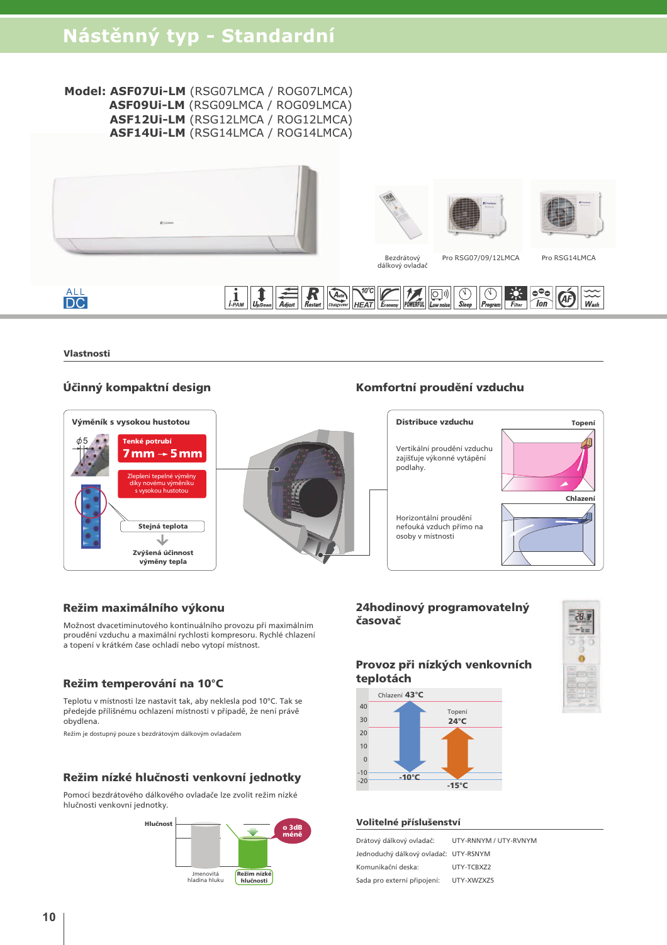#### Model: ASF07Ui-LM (RSG07LMCA / ROG07LMCA) ASF09Ui-LM (RSG09LMCA / ROG09LMCA) ASF12Ui-LM (RSG12LMCA / ROG12LMCA) ASF14Ui-LM (RSG14LMCA / ROG14LMCA)







Bezdrátový Pro RSG07/09/12LMCA dálkový ovladač

Pro RSG14LMCA

# **ALL**<br>DC Adjust Restart Changeover HEAT Economy POWERFUL LOW noise Steep Program Filter TON

Vlastnosti

## Účinný kompaktní design



## Komfortní proudění vzduchu



#### Režim maximálního výkonu

Možnost dvacetiminutového kontinuálního provozu při maximálním proudění vzduchu a maximální rychlosti kompresoru. Rychlé chlazení a topení v krátkém čase ochladí nebo vytopí místnost.

#### Režim temperování na 10°C

Teplotu v místnosti lze nastavit tak, aby neklesla pod 10°C. Tak se předejde přílišnému ochlazení místnosti v případě, že není právě obvdlena.

Režim je dostupný pouze s bezdrátovým dálkovým ovladačem

#### Režim nízké hlučnosti venkovní jednotky

Pomocí bezdrátového dálkového ovladače lze zvolit režim nízké hlučnosti venkovní jednotky



## 24hodinový programovatelný časovač

## Provoz při nízkých venkovních teplotách





#### Volitelné příslušenství

| Drátový dálkový ovladač:              | UTY-RNNYM / UTY-RVNYM |
|---------------------------------------|-----------------------|
| Jednoduchý dálkový ovladač: UTY-RSNYM |                       |
| Komunikační deska:                    | UTY-TCBXZ2            |
| Sada pro externí připojení:           | UTY-XWZXZ5            |